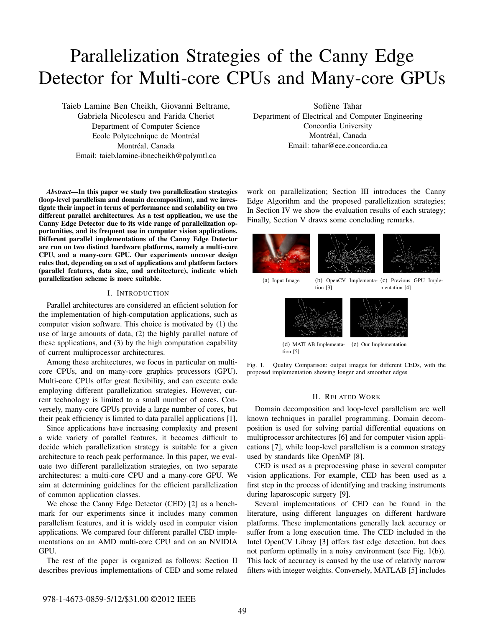# Parallelization Strategies of the Canny Edge Detector for Multi-core CPUs and Many-core GPUs

Taieb Lamine Ben Cheikh, Giovanni Beltrame,

Gabriela Nicolescu and Farida Cheriet Department of Computer Science Ecole Polytechnique de Montréal Montréal, Canada Email: taieb.lamine-ibnecheikh@polymtl.ca

*Abstract*—In this paper we study two parallelization strategies (loop-level parallelism and domain decomposition), and we investigate their impact in terms of performance and scalability on two different parallel architectures. As a test application, we use the Canny Edge Detector due to its wide range of parallelization opportunities, and its frequent use in computer vision applications. Different parallel implementations of the Canny Edge Detector are run on two distinct hardware platforms, namely a multi-core CPU, and a many-core GPU. Our experiments uncover design rules that, depending on a set of applications and platform factors (parallel features, data size, and architecture), indicate which parallelization scheme is more suitable.

# I. INTRODUCTION

Parallel architectures are considered an efficient solution for the implementation of high-computation applications, such as computer vision software. This choice is motivated by (1) the use of large amounts of data, (2) the highly parallel nature of these applications, and (3) by the high computation capability of current multiprocessor architectures.

Among these architectures, we focus in particular on multicore CPUs, and on many-core graphics processors (GPU). Multi-core CPUs offer great flexibility, and can execute code employing different parallelization strategies. However, current technology is limited to a small number of cores. Conversely, many-core GPUs provide a large number of cores, but their peak efficiency is limited to data parallel applications [1].

Since applications have increasing complexity and present a wide variety of parallel features, it becomes difficult to decide which parallelization strategy is suitable for a given architecture to reach peak performance. In this paper, we evaluate two different parallelization strategies, on two separate architectures: a multi-core CPU and a many-core GPU. We aim at determining guidelines for the efficient parallelization of common application classes.

We chose the Canny Edge Detector (CED) [2] as a benchmark for our experiments since it includes many common parallelism features, and it is widely used in computer vision applications. We compared four different parallel CED implementations on an AMD multi-core CPU and on an NVIDIA GPU.

The rest of the paper is organized as follows: Section II describes previous implementations of CED and some related Sofiène Tahar

Department of Electrical and Computer Engineering Concordia University Montréal, Canada Email: tahar@ece.concordia.ca

work on parallelization; Section III introduces the Canny Edge Algorithm and the proposed parallelization strategies; In Section IV we show the evaluation results of each strategy; Finally, Section V draws some concluding remarks.



Fig. 1. Quality Comparison: output images for different CEDs, with the proposed implementation showing longer and smoother edges

# II. RELATED WORK

Domain decomposition and loop-level parallelism are well known techniques in parallel programming. Domain decomposition is used for solving partial differential equations on multiprocessor architectures [6] and for computer vision applications [7], while loop-level parallelism is a common strategy used by standards like OpenMP [8].

CED is used as a preprocessing phase in several computer vision applications. For example, CED has been used as a first step in the process of identifying and tracking instruments during laparoscopic surgery [9].

Several implementations of CED can be found in the literature, using different languages on different hardware platforms. These implementations generally lack accuracy or suffer from a long execution time. The CED included in the Intel OpenCV Libray [3] offers fast edge detection, but does not perform optimally in a noisy environment (see Fig. 1(b)). This lack of accuracy is caused by the use of relativly narrow filters with integer weights. Conversely, MATLAB [5] includes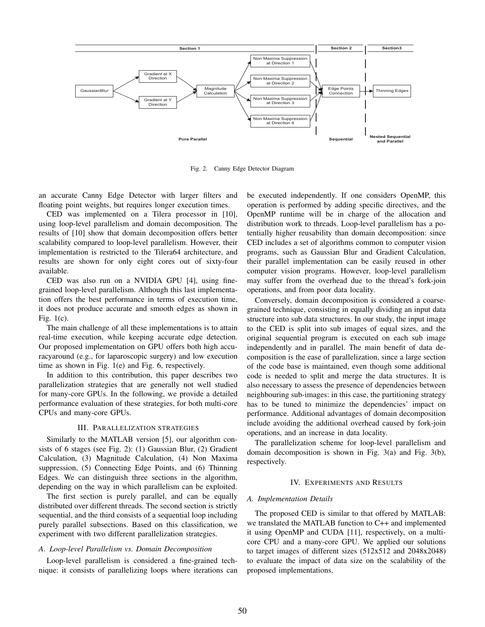

Fig. 2. Canny Edge Detector Diagram

an accurate Canny Edge Detector with larger filters and floating point weights, but requires longer execution times.

CED was implemented on a Tilera processor in [10], using loop-level parallelism and domain decomposition. The results of [10] show that domain decomposition offers better scalability compared to loop-level parallelism. However, their implementation is restricted to the Tilera64 architecture, and results are shown for only eight cores out of sixty-four available.

CED was also run on a NVIDIA GPU [4], using finegrained loop-level parallelism. Although this last implementation offers the best performance in terms of execution time, it does not produce accurate and smooth edges as shown in Fig. 1(c).

The main challenge of all these implementations is to attain real-time execution, while keeping accurate edge detection. Our proposed implementation on GPU offers both high accuracyaround (e.g., for laparoscopic surgery) and low execution time as shown in Fig. 1(e) and Fig. 6, respectively.

In addition to this contribution, this paper describes two parallelization strategies that are generally not well studied for many-core GPUs. In the following, we provide a detailed performance evaluation of these strategies, for both multi-core CPUs and many-core GPUs.

# III. PARALLELIZATION STRATEGIES

Similarly to the MATLAB version [5], our algorithm consists of 6 stages (see Fig. 2): (1) Gaussian Blur, (2) Gradient Calculation, (3) Magnitude Calculation, (4) Non Maxima suppression, (5) Connecting Edge Points, and (6) Thinning Edges. We can distinguish three sections in the algorithm, depending on the way in which parallelism can be exploited.

The first section is purely parallel, and can be equally distributed over different threads. The second section is strictly sequential, and the third consists of a sequential loop including purely parallel subsections. Based on this classification, we experiment with two different parallelization strategies.

#### *A. Loop-level Parallelism vs. Domain Decomposition*

Loop-level parallelism is considered a fine-grained technique: it consists of parallelizing loops where iterations can be executed independently. If one considers OpenMP, this operation is performed by adding specific directives, and the OpenMP runtime will be in charge of the allocation and distribution work to threads. Loop-level parallelism has a potentially higher reusability than domain decomposition: since CED includes a set of algorithms common to computer vision programs, such as Gaussian Blur and Gradient Calculation, their parallel implementation can be easily reused in other computer vision programs. However, loop-level parallelism may suffer from the overhead due to the thread's fork-join operations, and from poor data locality.

Conversely, domain decomposition is considered a coarsegrained technique, consisting in equally dividing an input data structure into sub data structures. In our study, the input image to the CED is split into sub images of equal sizes, and the original sequential program is executed on each sub image independently and in parallel. The main benefit of data decomposition is the ease of parallelization, since a large section of the code base is maintained, even though some additional code is needed to split and merge the data structures. It is also necessary to assess the presence of dependencies between neighbouring sub-images: in this case, the partitioning strategy has to be tuned to minimize the dependencies' impact on performance. Additional advantages of domain decomposition include avoiding the additional overhead caused by fork-join operations, and an increase in data locality.

The parallelization scheme for loop-level parallelism and domain decomposition is shown in Fig. 3(a) and Fig. 3(b), respectively.

### IV. EXPERIMENTS AND RESULTS

#### *A. Implementation Details*

The proposed CED is similar to that offered by MATLAB: we translated the MATLAB function to C++ and implemented it using OpenMP and CUDA [11], respectively, on a multicore CPU and a many-core GPU. We applied our solutions to target images of different sizes (512x512 and 2048x2048) to evaluate the impact of data size on the scalability of the proposed implementations.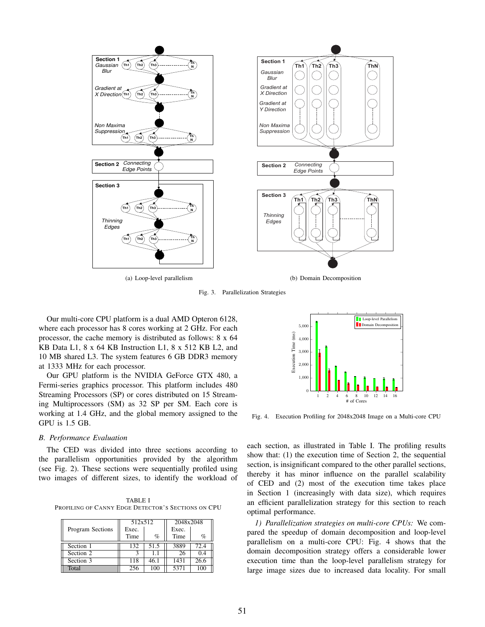



Our multi-core CPU platform is a dual AMD Opteron 6128, where each processor has 8 cores working at 2 GHz. For each processor, the cache memory is distributed as follows: 8 x 64 KB Data L1, 8 x 64 KB Instruction L1, 8 x 512 KB L2, and 10 MB shared L3. The system features 6 GB DDR3 memory at 1333 MHz for each processor.

Our GPU platform is the NVIDIA GeForce GTX 480, a Fermi-series graphics processor. This platform includes 480 Streaming Processors (SP) or cores distributed on 15 Streaming Multiprocessors (SM) as 32 SP per SM. Each core is working at 1.4 GHz, and the global memory assigned to the GPU is 1.5 GB.

### *B. Performance Evaluation*

The CED was divided into three sections according to the parallelism opportunities provided by the algorithm (see Fig. 2). These sections were sequentially profiled using two images of different sizes, to identify the workload of

TABLE I PROFILING OF CANNY EDGE DETECTOR'S SECTIONS ON CPU

|                  | 512x512 |      | 2048x2048 |      |
|------------------|---------|------|-----------|------|
| Program Sections | Exec.   |      | Exec.     |      |
|                  | Time    | $\%$ | Time      | $\%$ |
| Section 1        | 132     | 51.5 | 3889      | 72.4 |
| Section 2        |         | 11   | 26        | 04   |
| Section 3        | 118     | 46.1 | 1431      | 26.6 |
| Total            | 256     | 100  | 5371      | 100  |



Fig. 4. Execution Profiling for 2048x2048 Image on a Multi-core CPU

each section, as illustrated in Table I. The profiling results show that: (1) the execution time of Section 2, the sequential section, is insignificant compared to the other parallel sections, thereby it has minor influence on the parallel scalability of CED and (2) most of the execution time takes place in Section 1 (increasingly with data size), which requires an efficient parallelization strategy for this section to reach optimal performance.

*1) Parallelization strategies on multi-core CPUs:* We compared the speedup of domain decomposition and loop-level parallelism on a multi-core CPU: Fig. 4 shows that the domain decomposition strategy offers a considerable lower execution time than the loop-level parallelism strategy for large image sizes due to increased data locality. For small